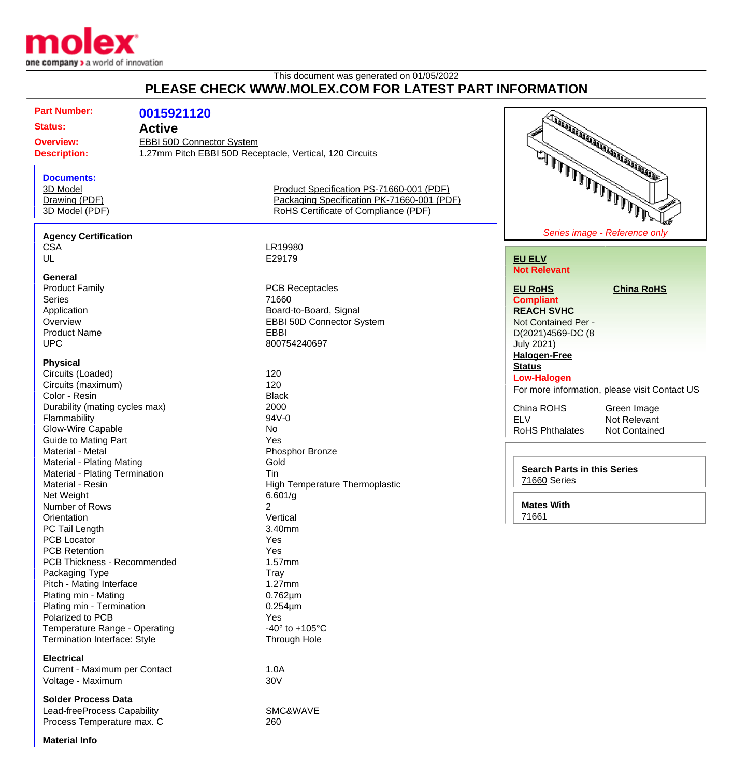

## This document was generated on 01/05/2022 **PLEASE CHECK WWW.MOLEX.COM FOR LATEST PART INFORMATION**

| PLEASE CHECK WWW.MOLEX.COM FOR LATEST PART INFORMATION                                                                                                                                                                                                                                             |                                                                 |                                                                                                                                                                   |                                                                                                                                                                                                                   |
|----------------------------------------------------------------------------------------------------------------------------------------------------------------------------------------------------------------------------------------------------------------------------------------------------|-----------------------------------------------------------------|-------------------------------------------------------------------------------------------------------------------------------------------------------------------|-------------------------------------------------------------------------------------------------------------------------------------------------------------------------------------------------------------------|
| <b>Part Number:</b><br><b>Status:</b><br><b>Overview:</b><br><b>Description:</b>                                                                                                                                                                                                                   | 0015921120<br><b>Active</b><br><b>EBBI 50D Connector System</b> | 1.27mm Pitch EBBI 50D Receptacle, Vertical, 120 Circuits                                                                                                          | <b>CONSTRUCTION AND INTERNATIONAL PROPERTY AND INCORPORATION AND INCORPORATION AND INCORPORATION AND INCORPORATION</b>                                                                                            |
| <b>Documents:</b><br>3D Model<br>Drawing (PDF)<br>3D Model (PDF)                                                                                                                                                                                                                                   |                                                                 | Product Specification PS-71660-001 (PDF)<br>Packaging Specification PK-71660-001 (PDF)<br>RoHS Certificate of Compliance (PDF)                                    | شنعلا المالمالملا المالمالي المستعمل المالي                                                                                                                                                                       |
| <b>Agency Certification</b><br><b>CSA</b><br>UL                                                                                                                                                                                                                                                    |                                                                 | LR19980<br>E29179                                                                                                                                                 | Series image - Reference only<br><b>EU ELV</b><br><b>Not Relevant</b>                                                                                                                                             |
| General<br><b>Product Family</b><br><b>Series</b><br>Application<br>Overview<br><b>Product Name</b><br><b>UPC</b>                                                                                                                                                                                  |                                                                 | <b>PCB Receptacles</b><br>71660<br>Board-to-Board, Signal<br><b>EBBI 50D Connector System</b><br><b>EBBI</b><br>800754240697                                      | <b>EU RoHS</b><br><b>China RoHS</b><br><b>Compliant</b><br><b>REACH SVHC</b><br>Not Contained Per -<br>D(2021)4569-DC (8<br><b>July 2021)</b>                                                                     |
| <b>Physical</b><br>Circuits (Loaded)<br>Circuits (maximum)<br>Color - Resin<br>Durability (mating cycles max)<br>Flammability<br>Glow-Wire Capable<br><b>Guide to Mating Part</b>                                                                                                                  |                                                                 | 120<br>120<br><b>Black</b><br>2000<br>94V-0<br>No<br>Yes                                                                                                          | <b>Halogen-Free</b><br><b>Status</b><br><b>Low-Halogen</b><br>For more information, please visit Contact US<br>China ROHS<br>Green Image<br><b>ELV</b><br>Not Relevant<br><b>RoHS Phthalates</b><br>Not Contained |
| Material - Metal<br><b>Material - Plating Mating</b><br>Material - Plating Termination<br>Material - Resin<br>Net Weight<br>Number of Rows                                                                                                                                                         |                                                                 | Phosphor Bronze<br>Gold<br>Tin<br>High Temperature Thermoplastic<br>6.601/g<br>2                                                                                  | <b>Search Parts in this Series</b><br>71660 Series<br><b>Mates With</b>                                                                                                                                           |
| Orientation<br>PC Tail Length<br><b>PCB Locator</b><br><b>PCB Retention</b><br>PCB Thickness - Recommended<br>Packaging Type<br>Pitch - Mating Interface<br>Plating min - Mating<br>Plating min - Termination<br>Polarized to PCB<br>Temperature Range - Operating<br>Termination Interface: Style |                                                                 | Vertical<br>3.40mm<br>Yes<br>Yes<br>1.57mm<br>Tray<br>1.27mm<br>$0.762 \mu m$<br>$0.254 \mu m$<br>Yes<br>-40 $\degree$ to +105 $\degree$ C<br><b>Through Hole</b> | 71661                                                                                                                                                                                                             |
| <b>Electrical</b><br>Current - Maximum per Contact<br>Voltage - Maximum                                                                                                                                                                                                                            |                                                                 | 1.0A<br>30V                                                                                                                                                       |                                                                                                                                                                                                                   |
| <b>Solder Process Data</b><br>Lead-freeProcess Capability<br>Process Temperature max. C                                                                                                                                                                                                            |                                                                 | SMC&WAVE<br>260                                                                                                                                                   |                                                                                                                                                                                                                   |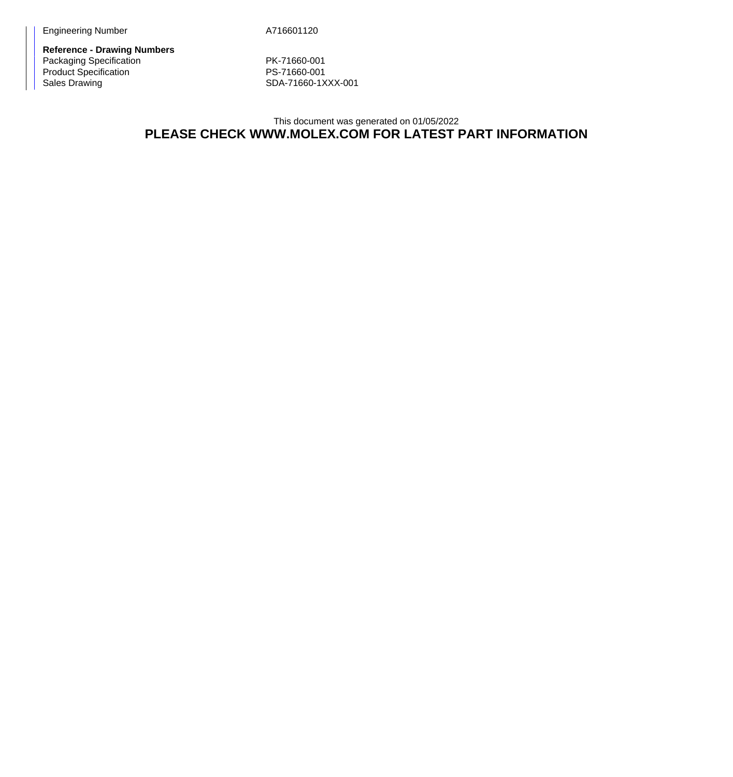**Reference - Drawing Numbers** Packaging Specification **PK-71660-001** Product Specification **PS-71660-001** Sales Drawing Sales Drawing SDA-71660-1XXX-001

## This document was generated on 01/05/2022 **PLEASE CHECK WWW.MOLEX.COM FOR LATEST PART INFORMATION**